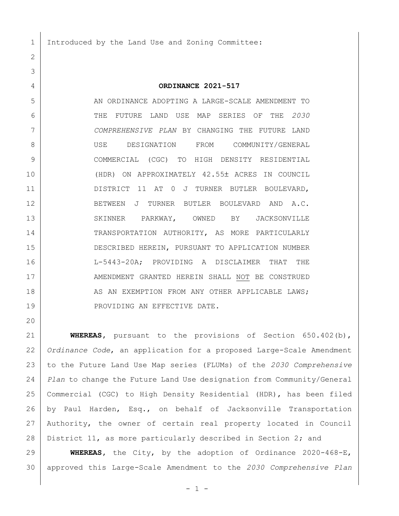Introduced by the Land Use and Zoning Committee:

## **ORDINANCE 2021-517**

 AN ORDINANCE ADOPTING A LARGE-SCALE AMENDMENT TO THE FUTURE LAND USE MAP SERIES OF THE *2030 COMPREHENSIVE PLAN* BY CHANGING THE FUTURE LAND USE DESIGNATION FROM COMMUNITY/GENERAL COMMERCIAL (CGC) TO HIGH DENSITY RESIDENTIAL (HDR) ON APPROXIMATELY 42.55 ACRES IN COUNCIL 11 DISTRICT 11 AT 0 J TURNER BUTLER BOULEVARD, 12 BETWEEN J TURNER BUTLER BOULEVARD AND A.C. 13 SKINNER PARKWAY, OWNED BY JACKSONVILLE 14 TRANSPORTATION AUTHORITY, AS MORE PARTICULARLY DESCRIBED HEREIN, PURSUANT TO APPLICATION NUMBER L-5443-20A; PROVIDING A DISCLAIMER THAT THE 17 | AMENDMENT GRANTED HEREIN SHALL NOT BE CONSTRUED 18 AS AN EXEMPTION FROM ANY OTHER APPLICABLE LAWS; 19 PROVIDING AN EFFECTIVE DATE.

 **WHEREAS,** pursuant to the provisions of Section 650.402(b), *Ordinance Code*, an application for a proposed Large-Scale Amendment to the Future Land Use Map series (FLUMs) of the *2030 Comprehensive Plan* to change the Future Land Use designation from Community/General Commercial (CGC) to High Density Residential (HDR), has been filed by Paul Harden, Esq., on behalf of Jacksonville Transportation Authority, the owner of certain real property located in Council District 11, as more particularly described in Section 2; and

 **WHEREAS,** the City, by the adoption of Ordinance 2020-468-E, approved this Large-Scale Amendment to the *2030 Comprehensive Plan*

 $-1 -$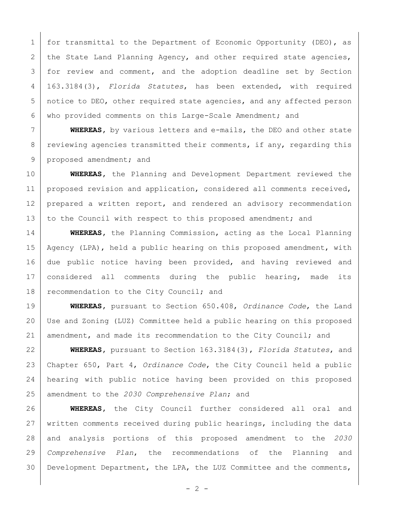1 | for transmittal to the Department of Economic Opportunity (DEO), as 2 the State Land Planning Agency, and other required state agencies, 3 | for review and comment, and the adoption deadline set by Section 163.3184(3), *Florida Statutes*, has been extended, with required notice to DEO, other required state agencies, and any affected person who provided comments on this Large-Scale Amendment; and

 **WHEREAS,** by various letters and e-mails, the DEO and other state 8 reviewing agencies transmitted their comments, if any, regarding this 9 proposed amendment; and

 **WHEREAS,** the Planning and Development Department reviewed the 11 proposed revision and application, considered all comments received, 12 prepared a written report, and rendered an advisory recommendation 13 to the Council with respect to this proposed amendment; and

 **WHEREAS,** the Planning Commission, acting as the Local Planning Agency (LPA), held a public hearing on this proposed amendment, with due public notice having been provided, and having reviewed and considered all comments during the public hearing, made its 18 recommendation to the City Council; and

 **WHEREAS,** pursuant to Section 650.408, *Ordinance Code*, the Land Use and Zoning (LUZ) Committee held a public hearing on this proposed amendment, and made its recommendation to the City Council; and

 **WHEREAS,** pursuant to Section 163.3184(3), *Florida Statutes*, and Chapter 650, Part 4, *Ordinance Code*, the City Council held a public hearing with public notice having been provided on this proposed amendment to the *2030 Comprehensive Plan*; and

 **WHEREAS,** the City Council further considered all oral and written comments received during public hearings, including the data and analysis portions of this proposed amendment to the *2030 Comprehensive Plan*, the recommendations of the Planning and Development Department, the LPA, the LUZ Committee and the comments,

 $- 2 -$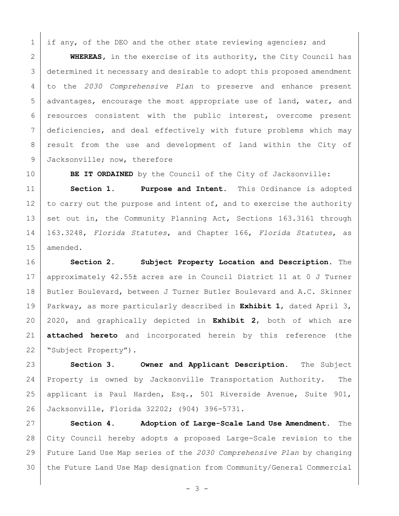1 | if any, of the DEO and the other state reviewing agencies; and

 **WHEREAS,** in the exercise of its authority, the City Council has determined it necessary and desirable to adopt this proposed amendment to the *2030 Comprehensive Plan* to preserve and enhance present advantages, encourage the most appropriate use of land, water, and 6 resources consistent with the public interest, overcome present deficiencies, and deal effectively with future problems which may 8 | result from the use and development of land within the City of 9 Jacksonville; now, therefore

**BE IT ORDAINED** by the Council of the City of Jacksonville:

 **Section 1. Purpose and Intent.** This Ordinance is adopted 12 to carry out the purpose and intent of, and to exercise the authority 13 set out in, the Community Planning Act, Sections 163.3161 through 163.3248, *Florida Statutes*, and Chapter 166, *Florida Statutes*, as amended.

 **Section 2. Subject Property Location and Description.** The 17 approximately 42.55± acres are in Council District 11 at 0 J Turner 18 Butler Boulevard, between J Turner Butler Boulevard and A.C. Skinner Parkway, as more particularly described in **Exhibit 1**, dated April 3, 2020, and graphically depicted in **Exhibit 2**, both of which are **attached hereto** and incorporated herein by this reference (the 22 | "Subject Property").

 **Section 3. Owner and Applicant Description.** The Subject Property is owned by Jacksonville Transportation Authority. The applicant is Paul Harden, Esq., 501 Riverside Avenue, Suite 901, Jacksonville, Florida 32202; (904) 396-5731.

 **Section 4. Adoption of Large-Scale Land Use Amendment.** The City Council hereby adopts a proposed Large-Scale revision to the Future Land Use Map series of the *2030 Comprehensive Plan* by changing the Future Land Use Map designation from Community/General Commercial

- 3 -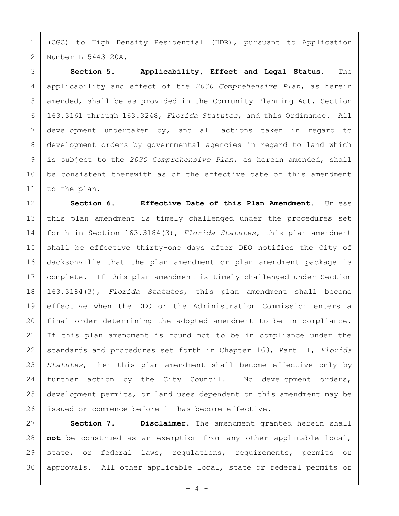(CGC) to High Density Residential (HDR), pursuant to Application Number L-5443-20A.

 **Section 5. Applicability, Effect and Legal Status.** The applicability and effect of the *2030 Comprehensive Plan*, as herein 5 | amended, shall be as provided in the Community Planning Act, Section 163.3161 through 163.3248, *Florida Statutes*, and this Ordinance. All development undertaken by, and all actions taken in regard to development orders by governmental agencies in regard to land which is subject to the *2030 Comprehensive Plan*, as herein amended, shall 10 be consistent therewith as of the effective date of this amendment to the plan.

 **Section 6. Effective Date of this Plan Amendment.** Unless this plan amendment is timely challenged under the procedures set forth in Section 163.3184(3), *Florida Statutes*, this plan amendment 15 shall be effective thirty-one days after DEO notifies the City of Jacksonville that the plan amendment or plan amendment package is complete. If this plan amendment is timely challenged under Section 163.3184(3), *Florida Statutes*, this plan amendment shall become effective when the DEO or the Administration Commission enters a final order determining the adopted amendment to be in compliance. If this plan amendment is found not to be in compliance under the standards and procedures set forth in Chapter 163, Part II, *Florida Statutes*, then this plan amendment shall become effective only by 24 further action by the City Council. No development orders, development permits, or land uses dependent on this amendment may be issued or commence before it has become effective.

 **Section 7. Disclaimer.** The amendment granted herein shall **not** be construed as an exemption from any other applicable local, state, or federal laws, regulations, requirements, permits or 30 | approvals. All other applicable local, state or federal permits or

 $- 4 -$